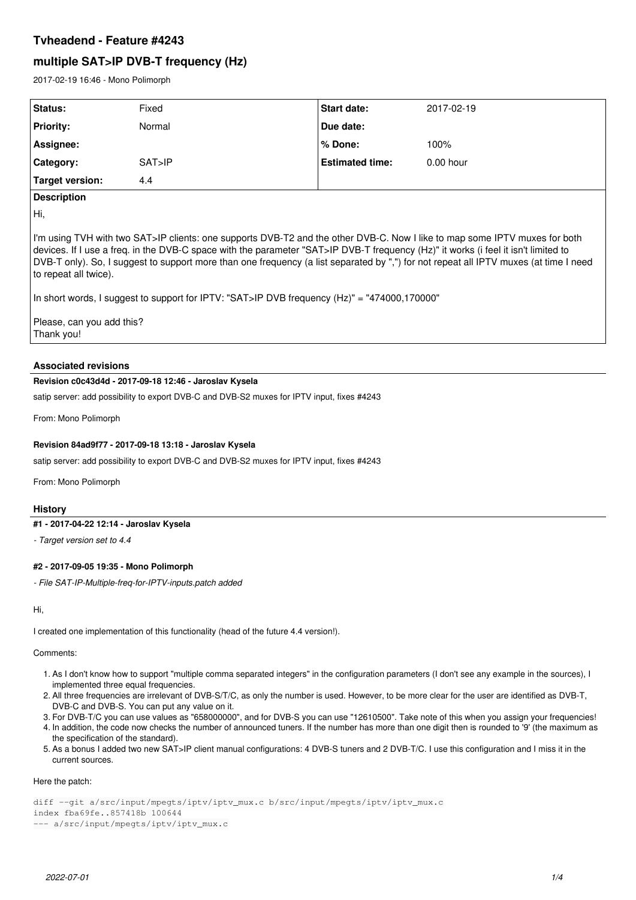# **Tvheadend - Feature #4243**

# **multiple SAT>IP DVB-T frequency (Hz)**

2017-02-19 16:46 - Mono Polimorph

| Status:          | Fixed  | <b>Start date:</b>     | 2017-02-19  |
|------------------|--------|------------------------|-------------|
| <b>Priority:</b> | Normal | Due date:              |             |
| Assignee:        |        | % Done:                | 100%        |
| Category:        | SAT>IP | <b>Estimated time:</b> | $0.00$ hour |
| Target version:  | 4.4    |                        |             |

# **Description**

Hi,

I'm using TVH with two SAT>IP clients: one supports DVB-T2 and the other DVB-C. Now I like to map some IPTV muxes for both devices. If I use a freq. in the DVB-C space with the parameter "SAT>IP DVB-T frequency (Hz)" it works (i feel it isn't limited to DVB-T only). So, I suggest to support more than one frequency (a list separated by ",") for not repeat all IPTV muxes (at time I need to repeat all twice).

In short words, I suggest to support for IPTV: "SAT>IP DVB frequency (Hz)" = "474000,170000"

Please, can you add this? Thank you!

# **Associated revisions**

# **Revision c0c43d4d - 2017-09-18 12:46 - Jaroslav Kysela**

satip server: add possibility to export DVB-C and DVB-S2 muxes for IPTV input, fixes #4243

From: Mono Polimorph

# **Revision 84ad9f77 - 2017-09-18 13:18 - Jaroslav Kysela**

satip server: add possibility to export DVB-C and DVB-S2 muxes for IPTV input, fixes #4243

From: Mono Polimorph

# **History**

# **#1 - 2017-04-22 12:14 - Jaroslav Kysela**

*- Target version set to 4.4*

# **#2 - 2017-09-05 19:35 - Mono Polimorph**

*- File SAT-IP-Multiple-freq-for-IPTV-inputs.patch added*

Hi,

I created one implementation of this functionality (head of the future 4.4 version!).

# Comments:

- 1. As I don't know how to support "multiple comma separated integers" in the configuration parameters (I don't see any example in the sources), I implemented three equal frequencies.
- 2. All three frequencies are irrelevant of DVB-S/T/C, as only the number is used. However, to be more clear for the user are identified as DVB-T, DVB-C and DVB-S. You can put any value on it.
- 3. For DVB-T/C you can use values as "658000000", and for DVB-S you can use "12610500". Take note of this when you assign your frequencies!
- 4. In addition, the code now checks the number of announced tuners. If the number has more than one digit then is rounded to '9' (the maximum as the specification of the standard).
- 5. As a bonus I added two new SAT>IP client manual configurations: 4 DVB-S tuners and 2 DVB-T/C. I use this configuration and I miss it in the current sources.

# Here the patch:

diff --git a/src/input/mpegts/iptv/iptv\_mux.c b/src/input/mpegts/iptv/iptv\_mux.c index fba69fe..857418b 100644 --- a/src/input/mpegts/iptv/iptv\_mux.c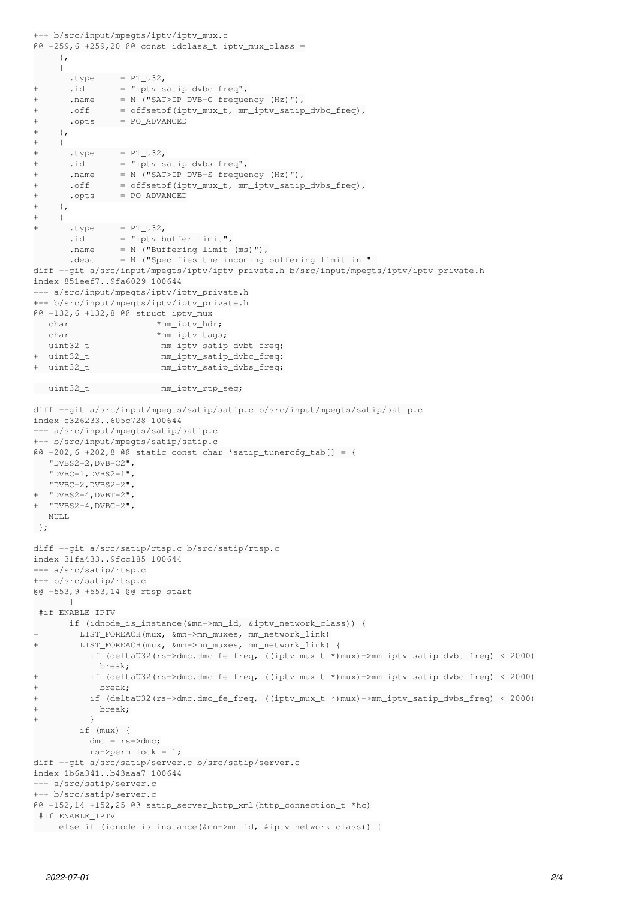```
+++ b/src/input/mpegts/iptv/iptv_mux.c
@@ -259,6 +259,20 @@ const idclass_t iptv_mux_class =
          },
          {
        .\texttt{type} = PT_U32,+      .id       = "iptv_satip_dvbc_freq",
+      .name     = N_("SAT>IP DVB-C frequency (Hz)"),
+       .off                = offsetof(iptv_mux_t, mm_iptv_satip_dvbc_freq),
+      .opts     = PO_ADVANCED
+ },
+ \{.\text{type} = \text{PT\_U32},
       .id = "iptv_satip_dvbs_freq",
+      .name        = N ("SAT>IP DVB-S frequency (Hz)"),
+       .off                = offsetof(iptv_mux_t, mm_iptv_satip_dvbs_freq),
+      .opts     = PO_ADVANCED
+ },
+   {
+      .type     = PT_U32,
        \begin{minipage}{0.2\linewidth} i.d & = "iptv_buffer_limit", \end{minipage}.name = N_{-} ("Buffering limit (ms)"),
       .desc = N_{-} ("Specifies the incoming buffering limit in "
diff --git a/src/input/mpegts/iptv/iptv_private.h b/src/input/mpegts/iptv/iptv_private.h
index 851eef7..9fa6029 100644
--- a/src/input/mpegts/iptv/iptv_private.h
+++ b/src/input/mpegts/iptv/iptv_private.h
@@ -132,6 +132,8 @@ struct iptv_mux
      char                 *mm_iptv_hdr;
   char *mm_iptv_tags;
      uint32_t              mm_iptv_satip_dvbt_freq;
  +  uint32_t              mm_iptv_satip_dvbc_freq;
+  uint32_t              mm_iptv_satip_dvbs_freq;
   uint32_t              mm_iptv_rtp_seq;
diff --git a/src/input/mpegts/satip/satip.c b/src/input/mpegts/satip/satip.c
index c326233..605c728 100644
--- a/src/input/mpegts/satip/satip.c
+++ b/src/input/mpegts/satip/satip.c
@0 -202, 6 +202, 8 @0 static const char *satip_tunercfg_tab[] = {
      "DVBS2-2,DVB-C2",
      "DVBC-1,DVBS2-1",
      "DVBC-2,DVBS2-2",
  "DVBS2-4,DVBT-2"+  "DVBS2-4,DVBC-2",
  NULL.
 };
diff --git a/src/satip/rtsp.c b/src/satip/rtsp.c
index 31fa433..9fcc185 100644
--- a/src/satip/rtsp.c
+++ b/src/satip/rtsp.c
@@ -553,9 +553,14 @@ rtsp_start
              }
  #if ENABLE_IPTV
              if (idnode_is_instance(&mn->mn_id, &iptv_network_class)) {
         -        LIST_FOREACH(mux, &mn->mn_muxes, mm_network_link)
+        LIST_FOREACH(mux, &mn->mn_muxes, mm_network_link) {
                      if (deltaU32(rs->dmc.dmc_fe_freq, ((iptv_mux_t *)mux)->mm_iptv_satip_dvbt_freq) < 2000)
                          break;
+          if (deltaU32(rs->dmc.dmc_fe_freq, ((iptv_mux_t *)mux)->mm_iptv_satip_dvbc_freq) < 2000)
             +            break;
           +          if (deltaU32(rs->dmc.dmc_fe_freq, ((iptv_mux_t *)mux)->mm_iptv_satip_dvbs_freq) < 2000)
+            break;
+          }
                  if (mux) {
           dmc = rs - \geq dmc;           rs->perm_lock = 1;
diff --git a/src/satip/server.c b/src/satip/server.c
index 1b6a341..b43aaa7 100644
--- a/src/satip/server.c
+++ b/src/satip/server.c
@@ -152,14 +152,25 @@ satip_server_http_xml(http_connection_t *hc)
#if ENABLE_IPTV
         else if (idnode_is_instance(&mn->mn_id, &iptv_network_class)) {
```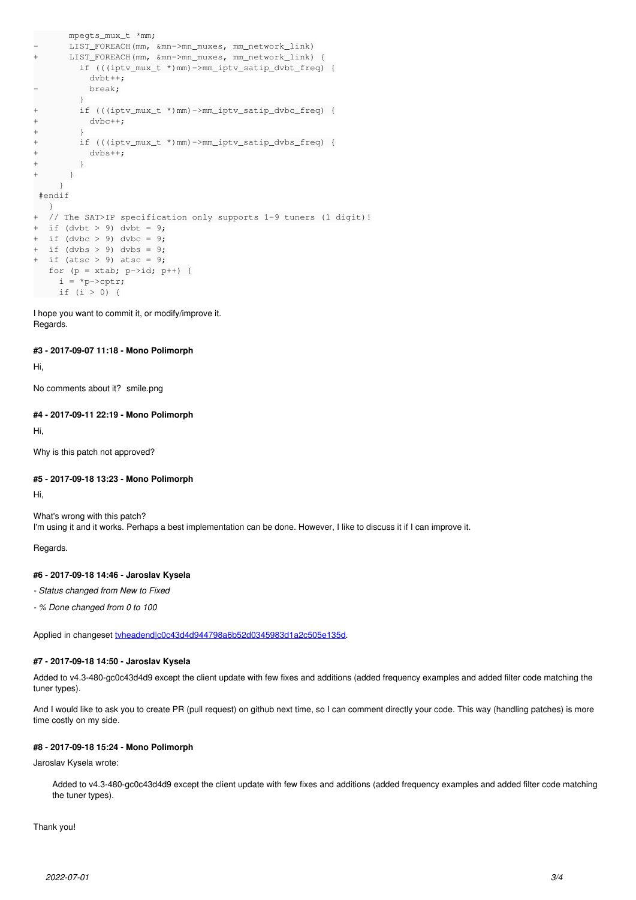```
       mpegts_mux_t *mm;
- LIST_FOREACH(mm, &mn->mn_muxes, mm_network_link)
+      LIST_FOREACH(mm, &mn->mn_muxes, mm_network_link) {
                  if (((iptv_mux_t *)mm)->mm_iptv_satip_dvbt_freq) {
                       dvbt++;
- break;
         }
+        if (((iptv_mux_t *)mm)->mm_iptv_satip_dvbc_freq) {
+          dvbc++;
++        if (((iptv_mux_t *)mm)->mm_iptv_satip_dvbs_freq) {
+          dvbs++;
+ + ++      }
          }
  #endif
\begin{matrix} & & \end{matrix} + \begin{matrix} & & \end{matrix}// The SAT>IP specification only supports 1-9 tuners (1 digit)!
+ if (dvbt > 9) dvbt = 9;+ if (dvbc > 9) dvbc = 9;
 if (dvbs > 9) dvbs = 9;
+ if (atsc > 9) atsc = 9;
   for (p = xtab; p->id; p++) {
     i = *p->cptr;     if (i > 0) {
```
I hope you want to commit it, or modify/improve it. Regards.

#### **#3 - 2017-09-07 11:18 - Mono Polimorph**

Hi,

No comments about it? smile.png

#### **#4 - 2017-09-11 22:19 - Mono Polimorph**

Hi,

Why is this patch not approved?

#### **#5 - 2017-09-18 13:23 - Mono Polimorph**

Hi,

What's wrong with this patch? I'm using it and it works. Perhaps a best implementation can be done. However, I like to discuss it if I can improve it.

Regards.

# **#6 - 2017-09-18 14:46 - Jaroslav Kysela**

*- Status changed from New to Fixed*

*- % Done changed from 0 to 100*

Applied in changeset tvheadendlc0c43d4d944798a6b52d0345983d1a2c505e135d.

# **#7 - 2017-09-18 14:50 - Jaroslav Kysela**

Added to v4.3-480-gc0c43d4d9 except the client update with few fixes and additions (added frequency examples and added filter code matching the tuner types).

And I would like to ask you to create PR (pull request) on github next time, so I can comment directly your code. This way (handling patches) is more time costly on my side.

# **#8 - 2017-09-18 15:24 - Mono Polimorph**

Jaroslav Kysela wrote:

Added to v4.3-480-gc0c43d4d9 except the client update with few fixes and additions (added frequency examples and added filter code matching the tuner types).

Thank you!